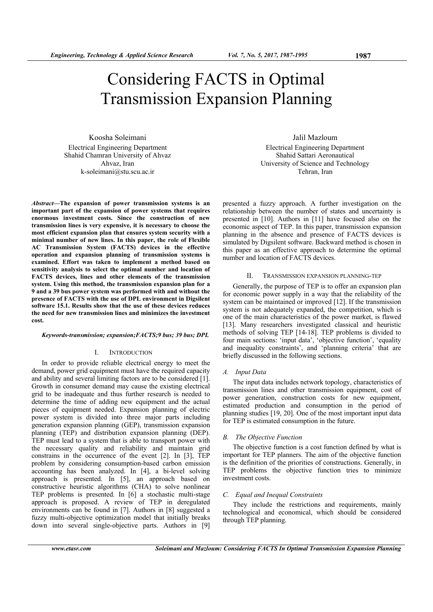Koosha Soleimani Electrical Engineering Department Shahid Chamran University of Ahvaz Ahvaz, Iran k-soleimani@stu.scu.ac.ir

*Abstract***—The expansion of power transmission systems is an important part of the expansion of power systems that requires enormous investment costs. Since the construction of new transmission lines is very expensive, it is necessary to choose the most efficient expansion plan that ensures system security with a minimal number of new lines. In this paper, the role of Flexible AC Transmission System (FACTS) devices in the effective operation and expansion planning of transmission systems is examined. Effort was taken to implement a method based on sensitivity analysis to select the optimal number and location of FACTS devices, lines and other elements of the transmission system. Using this method, the transmission expansion plan for a 9 and a 39 bus power system was performed with and without the presence of FACTS with the use of DPL environment in Digsilent software 15.1. Results show that the use of these devices reduces the need for new transmission lines and minimizes the investment cost.** 

#### *Keywords-transmission; expansion;FACTS;9 bus; 39 bus; DPL*

#### I. INTRODUCTION

In order to provide reliable electrical energy to meet the demand, power grid equipment must have the required capacity and ability and several limiting factors are to be considered [1]. Growth in consumer demand may cause the existing electrical grid to be inadequate and thus further research is needed to determine the time of adding new equipment and the actual pieces of equipment needed. Expansion planning of electric power system is divided into three major parts including generation expansion planning (GEP), transmission expansion planning (TEP) and distribution expansion planning (DEP). TEP must lead to a system that is able to transport power with the necessary quality and reliability and maintain grid constrains in the occurrence of the event [2]. In [3], TEP problem by considering consumption-based carbon emission accounting has been analyzed. In [4], a bi-level solving approach is presented. In [5], an approach based on constructive heuristic algorithms (CHA) to solve nonlinear TEP problems is presented. In [6] a stochastic multi-stage approach is proposed. A review of TEP in deregulated environments can be found in [7]. Authors in [8] suggested a fuzzy multi-objective optimization model that initially breaks down into several single-objective parts. Authors in [9]

Jalil Mazloum Electrical Engineering Department Shahid Sattari Aeronautical University of Science and Technology Tehran, Iran

presented a fuzzy approach. A further investigation on the relationship between the number of states and uncertainty is presented in [10]. Authors in [11] have focused also on the economic aspect of TEP. In this paper, transmission expansion planning in the absence and presence of FACTS devices is simulated by Digsilent software. Backward method is chosen in this paper as an effective approach to determine the optimal number and location of FACTS devices.

### II. TRANSMISSION EXPANSION PLANNING-TEP

Generally, the purpose of TEP is to offer an expansion plan for economic power supply in a way that the reliability of the system can be maintained or improved [12]. If the transmission system is not adequately expanded, the competition, which is one of the main characteristics of the power market, is flawed [13]. Many researchers investigated classical and heuristic methods of solving TEP [14-18]. TEP problems is divided to four main sections: 'input data', 'objective function', 'equality and inequality constraints', and 'planning criteria' that are briefly discussed in the following sections.

# *A. Input Data*

The input data includes network topology, characteristics of transmission lines and other transmission equipment, cost of power generation, construction costs for new equipment, estimated production and consumption in the period of planning studies [19, 20]. One of the most important input data for TEP is estimated consumption in the future.

#### *B. The Objective Function*

The objective function is a cost function defined by what is important for TEP planners. The aim of the objective function is the definition of the priorities of constructions. Generally, in TEP problems the objective function tries to minimize investment costs.

#### *C. Equal and Inequal Constraints*

They include the restrictions and requirements, mainly technological and economical, which should be considered through TEP planning.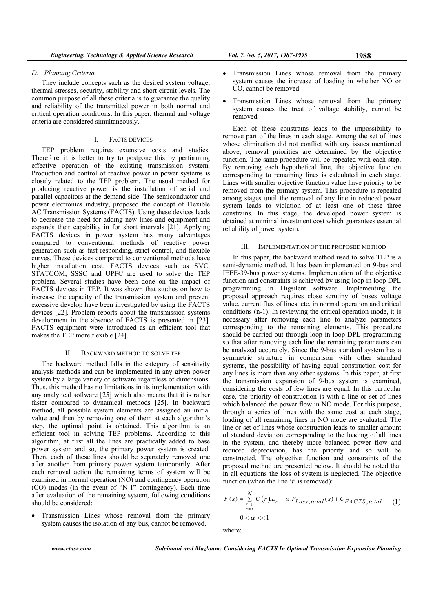### *D. Planning Criteria*

They include concepts such as the desired system voltage, thermal stresses, security, stability and short circuit levels. The common purpose of all these criteria is to guarantee the quality and reliability of the transmitted power in both normal and critical operation conditions. In this paper, thermal and voltage criteria are considered simultaneously.

## I. FACTS DEVICES

TEP problem requires extensive costs and studies. Therefore, it is better to try to postpone this by performing effective operation of the existing transmission system. Production and control of reactive power in power systems is closely related to the TEP problem. The usual method for producing reactive power is the installation of serial and parallel capacitors at the demand side. The semiconductor and power electronics industry, proposed the concept of Flexible AC Transmission Systems (FACTS). Using these devices leads to decrease the need for adding new lines and equipment and expands their capability in for short intervals [21]. Applying FACTS devices in power system has many advantages compared to conventional methods of reactive power generation such as fast responding, strict control, and flexible curves. These devices compared to conventional methods have higher installation cost. FACTS devices such as SVC, STATCOM, SSSC and UPFC are used to solve the TEP problem. Several studies have been done on the impact of FACTS devices in TEP. It was shown that studies on how to increase the capacity of the transmission system and prevent excessive develop have been investigated by using the FACTS devices [22]. Problem reports about the transmission systems development in the absence of FACTS is presented in [23]. FACTS equipment were introduced as an efficient tool that makes the TEP more flexible [24].

#### II. BACKWARD METHOD TO SOLVE TEP

The backward method falls in the category of sensitivity analysis methods and can be implemented in any given power system by a large variety of software regardless of dimensions. Thus, this method has no limitations in its implementation with any analytical software [25] which also means that it is rather faster compared to dynamical methods [25]. In backward method, all possible system elements are assigned an initial value and then by removing one of them at each algorithm's step, the optimal point is obtained. This algorithm is an efficient tool in solving TEP problems. According to this algorithm, at first all the lines are practically added to base power system and so, the primary power system is created. Then, each of these lines should be separately removed one after another from primary power system temporarily. After each removal action the remaining terms of system will be examined in normal operation (NO) and contingency operation (CO) modes (in the event of "N-1" contingency). Each time after evaluation of the remaining system, following conditions should be considered:

 Transmission Lines whose removal from the primary system causes the isolation of any bus, cannot be removed.

- Transmission Lines whose removal from the primary system causes the increase of loading in whether NO or CO, cannot be removed.
- Transmission Lines whose removal from the primary system causes the treat of voltage stability, cannot be removed.

Each of these constrains leads to the impossibility to remove part of the lines in each stage. Among the set of lines whose elimination did not conflict with any issues mentioned above, removal priorities are determined by the objective function. The same procedure will be repeated with each step. By removing each hypothetical line, the objective function corresponding to remaining lines is calculated in each stage. Lines with smaller objective function value have priority to be removed from the primary system. This procedure is repeated among stages until the removal of any line in reduced power system leads to violation of at least one of these three constrains. In this stage, the developed power system is obtained at minimal investment cost which guarantees essential reliability of power system.

### III. IMPLEMENTATION OF THE PROPOSED METHOD

In this paper, the backward method used to solve TEP is a semi-dynamic method. It has been implemented on 9-bus and IEEE-39-bus power systems. Implementation of the objective function and constraints is achieved by using loop in loop DPL programming in Digsilent software. Implementing the proposed approach requires close scrutiny of buses voltage value, current flux of lines, etc, in normal operation and critical conditions (n-1). In reviewing the critical operation mode, it is necessary after removing each line to analyze parameters corresponding to the remaining elements. This procedure should be carried out through loop in loop DPL programming so that after removing each line the remaining parameters can be analyzed accurately. Since the 9-bus standard system has a symmetric structure in comparison with other standard systems, the possibility of having equal construction cost for any lines is more than any other systems. In this paper, at first the transmission expansion of 9-bus system is examined, considering the costs of few lines are equal. In this particular case, the priority of construction is with a line or set of lines which balanced the power flow in NO mode. For this purpose, through a series of lines with the same cost at each stage, loading of all remaining lines in NO mode are evaluated. The line or set of lines whose construction leads to smaller amount of standard deviation corresponding to the loading of all lines in the system, and thereby more balanced power flow and reduced depreciation, has the priority and so will be constructed. The objective function and constraints of the proposed method are presented below. It should be noted that in all equations the loss of system is neglected. The objective function (when the line '*t*' is removed):

$$
F(x) = \sum_{\substack{r=1 \ r \neq x}}^{N} C(r) L_r + \alpha P_{Loss, total}(x) + C_{FACTS, total}
$$
 (1)  
0 <  $\alpha$  < 1

where:

*N*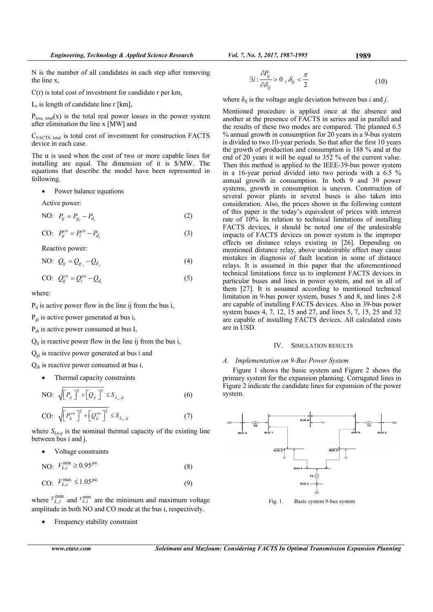N is the number of all candidates in each step after removing the line x,

- C(r) is total cost of investment for candidate r per km,
- $L_r$  is length of candidate line r [km],

 $P<sub>loss, total</sub>(x)$  is the total real power losses in the power system after elimination the line x [MW] and

CFACTS, total is total cost of investment for construction FACTS device in each case.

The  $\alpha$  is used when the cost of two or more capable lines for installing are equal. The dimension of it is \$/MW. The equations that describe the model have been represented in following.

• Power balance equations

Active power:

NO: 
$$
P_{ij} = P_{g_i} - P_{d_i}
$$
 (2)

CO: 
$$
P_{ij}^{co} = P_i^{co} - P_{d_i}
$$
 (3)

Reactive power:

NO: 
$$
Q_{ij} = Q_{g_i} - Q_{d_i}
$$
 (4)

$$
CO: Q_{ij}^{co} = Q_i^{co} - Q_{d_i}
$$
 (5)

where:

 $P_{ij}$  is active power flow in the line ij from the bus i,

 $P_{gi}$  is active power generated at bus i,

P<sub>di</sub> is active power consumed at bus I,

 $Q_{ii}$  is reactive power flow in the line ij from the bus i,

 $Q_{gi}$  is reactive power generated at bus i and

 $Q_{di}$  is reactive power consumed at bus i.

• Thermal capacity constraints

NO: 
$$
\sqrt{\left[P_{ij}\right]^2 + \left[Q_{ij}\right]^2} \leq S_{L_n,ij}
$$
 (6)

$$
\text{CO: } \sqrt{\left[P_{ij}^{co}\right]^2 + \left[Q_{ij}^{co}\right]^2} \le S_{L_n,ij} \tag{7}
$$

where  $S_{Ln,ij}$  is the nominal thermal capacity of the existing line between bus i and j.

Voltage constraints

NO: 
$$
V_{L,i}^{\min} \ge 0.95^{pu}
$$
. (8)

CO: 
$$
V_{L,i}^{\text{max}} \le 1.05^{pu}
$$
. (9)

where  $V_{L,i}^{\text{min}}$  and  $V_{L,i}^{\text{max}}$  are the minimum and maximum voltage amplitude in both NO and CO mode at the bus i, respectively.

Frequency stability constraint

$$
\exists i: \frac{\partial P_{ij}}{\partial \delta_{ij}} > 0 , \delta_{ij} < \frac{\pi}{2}
$$
 (10)

where  $\delta_{ii}$  is the voltage angle deviation between bus *i* and *j*.

Mentioned procedure is applied once at the absence and another at the presence of FACTS in series and in parallel and the results of these two modes are compared. The planned 6.5 % annual growth in consumption for 20 years in a 9-bus system is divided to two 10-year periods. So that after the first 10 years the growth of production and consumption is 188 % and at the end of 20 years it will be equal to 352 % of the current value. Then this method is applied to the IEEE-39-bus power system in a 16-year period divided into two periods with a 6.5 % annual growth in consumption. In both 9 and 39 power systems, growth in consumption is uneven. Construction of several power plants in several buses is also taken into consideration. Also, the prices shown in the following content of this paper is the today's equivalent of prices with interest rate of 10%. In relation to technical limitations of installing FACTS devices, it should be noted one of the undesirable impacts of FACTS devices on power system is the improper effects on distance relays existing in [26]. Depending on mentioned distance relay, above undesirable effect may cause mistakes in diagnosis of fault location in some of distance relays. It is assumed in this paper that the aforementioned technical limitations force us to implement FACTS devices in particular buses and lines in power system, and not in all of them [27]. It is assumed according to mentioned technical limitation in 9-bus power system, buses 5 and 8, and lines 2-8 are capable of installing FACTS devices. Also in 39-bus power system buses 4, 7, 12, 15 and 27, and lines 5, 7, 15, 25 and 32 are capable of installing FACTS devices. All calculated costs are in USD.

## IV. SIMULATION RESULTS

### *A. Implementation on 9-Bus Power System*

Figure 1 shows the basic system and Figure 2 shows the primary system for the expansion planning. Corrugated lines in Figure 2 indicate the candidate lines for expansion of the power system.



Fig. 1. Basic system 9-bus system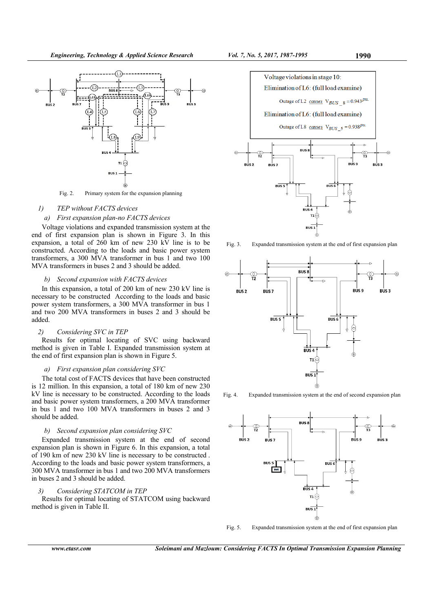

Fig. 2. Primary system for the expansion planning

### *1) TEP without FACTS devices*

## *a) First expansion plan-no FACTS devices*

Voltage violations and expanded transmission system at the end of first expansion plan is shown in Figure 3. In this expansion, a total of 260 km of new 230 kV line is to be constructed. According to the loads and basic power system transformers, a 300 MVA transformer in bus 1 and two 100 MVA transformers in buses 2 and 3 should be added.

#### *b) Second expansion with FACTS devices*

In this expansion, a total of 200 km of new 230 kV line is necessary to be constructed According to the loads and basic power system transformers, a 300 MVA transformer in bus 1 and two 200 MVA transformers in buses 2 and 3 should be added.

#### *2) Considering SVC in TEP*

Results for optimal locating of SVC using backward method is given in Table I. Expanded transmission system at the end of first expansion plan is shown in Figure 5.

### *a) First expansion plan considering SVC*

The total cost of FACTS devices that have been constructed is 12 million. In this expansion, a total of 180 km of new 230 kV line is necessary to be constructed. According to the loads and basic power system transformers, a 200 MVA transformer in bus 1 and two 100 MVA transformers in buses 2 and 3 should be added.

### *b) Second expansion plan considering SVC*

Expanded transmission system at the end of second expansion plan is shown in Figure 6. In this expansion, a total of 190 km of new 230 kV line is necessary to be constructed . According to the loads and basic power system transformers, a 300 MVA transformer in bus 1 and two 200 MVA transformers in buses 2 and 3 should be added.

# *3) Considering STATCOM in TEP*

Results for optimal locating of STATCOM using backward method is given in Table II.



Fig. 3. Expanded transmission system at the end of first expansion plan



Fig. 4. Expanded transmission system at the end of second expansion plan



Fig. 5. Expanded transmission system at the end of first expansion plan

*www.etasr.com Soleimani and Mazloum: Considering FACTS In Optimal Transmission Expansion Planning*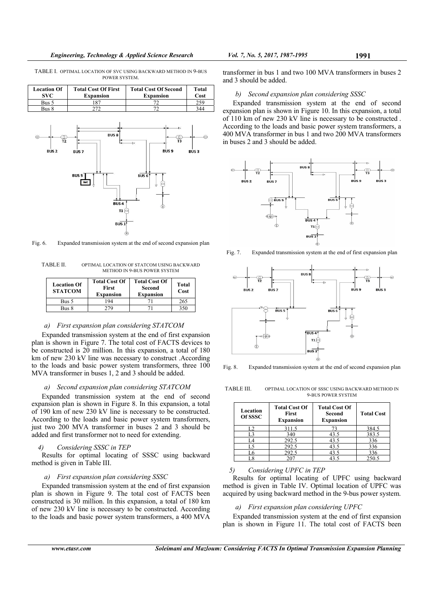TABLE I. OPTIMAL LOCATION OF SVC USING BACKWARD METHOD IN 9-BUS POWER SYSTEM.

| <b>Location Of</b><br>SVC. | <b>Total Cost Of First</b><br><b>Expansion</b> | <b>Total Cost Of Second</b><br><b>Expansion</b> | Total<br>Cost |
|----------------------------|------------------------------------------------|-------------------------------------------------|---------------|
| Bus 5                      |                                                |                                                 | 25g           |
| Bus 8                      |                                                |                                                 | 344           |



Fig. 6. Expanded transmission system at the end of second expansion plan

TABLE II. OPTIMAL LOCATION OF STATCOM USING BACKWARD METHOD IN 9-BUS POWER SYSTEM

| <b>Location Of</b><br><b>STATCOM</b> | <b>Total Cost Of</b><br>First<br><b>Expansion</b> | <b>Total Cost Of</b><br>Second<br><b>Expansion</b> | Total<br>Cost |
|--------------------------------------|---------------------------------------------------|----------------------------------------------------|---------------|
| Bus 5                                | 194                                               |                                                    | 265           |
| Bus 8                                | 279                                               |                                                    | 350           |

#### *a) First expansion plan considering STATCOM*

Expanded transmission system at the end of first expansion plan is shown in Figure 7. The total cost of FACTS devices to be constructed is 20 million. In this expansion, a total of 180 km of new 230 kV line was necessary to construct . According to the loads and basic power system transformers, three 100 MVA transformer in buses 1, 2 and 3 should be added.

### *a) Second expansion plan considering STATCOM*

Expanded transmission system at the end of second expansion plan is shown in Figure 8. In this expansion, a total of 190 km of new 230 kV line is necessary to be constructed. According to the loads and basic power system transformers, just two 200 MVA transformer in buses 2 and 3 should be added and first transformer not to need for extending.

# *4) Considering SSSC in TEP*

Results for optimal locating of SSSC using backward method is given in Table III.

#### *a) First expansion plan considering SSSC*

Expanded transmission system at the end of first expansion plan is shown in Figure 9. The total cost of FACTS been constructed is 30 million. In this expansion, a total of 180 km of new 230 kV line is necessary to be constructed. According to the loads and basic power system transformers, a 400 MVA

transformer in bus 1 and two 100 MVA transformers in buses 2 and 3 should be added.

#### *b) Second expansion plan considering SSSC*

Expanded transmission system at the end of second expansion plan is shown in Figure 10. In this expansion, a total of 110 km of new 230 kV line is necessary to be constructed . According to the loads and basic power system transformers, a 400 MVA transformer in bus 1 and two 200 MVA transformers in buses 2 and 3 should be added.



Fig. 7. Expanded transmission system at the end of first expansion plan



Fig. 8. Expanded transmission system at the end of second expansion plan

TABLE III. OPTIMAL LOCATION OF SSSC USING BACKWARD METHOD IN 9-BUS POWER SYSTEM

| Location<br>Of SSSC | <b>Total Cost Of</b><br><b>First</b><br><b>Expansion</b> | <b>Total Cost Of</b><br>Second<br><b>Expansion</b> | <b>Total Cost</b> |
|---------------------|----------------------------------------------------------|----------------------------------------------------|-------------------|
| L2                  | 311.5                                                    | 73                                                 | 384.5             |
| L3                  | 340                                                      | 43.5                                               | 383.5             |
| I 4                 | 292.5                                                    | 43.5                                               | 336               |
| L5                  | 292.5                                                    | 43.5                                               | 336               |
|                     | 292.5                                                    | 43.5                                               | 336               |
| 1.8                 | 207                                                      |                                                    | 250.5             |

*5) Considering UPFC in TEP* 

Results for optimal locating of UPFC using backward method is given in Table IV. Optimal location of UPFC was acquired by using backward method in the 9-bus power system.

#### *a) First expansion plan considering UPFC*

Expanded transmission system at the end of first expansion plan is shown in Figure 11. The total cost of FACTS been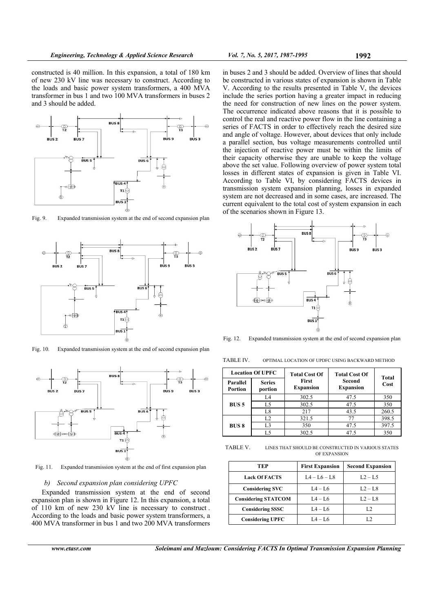

Fig. 9. Expanded transmission system at the end of second expansion plan



Fig. 10. Expanded transmission system at the end of second expansion plan



Fig. 11. Expanded transmission system at the end of first expansion plan

#### *b) Second expansion plan considering UPFC*

Expanded transmission system at the end of second expansion plan is shown in Figure 12. In this expansion, a total of 110 km of new 230 kV line is necessary to construct . According to the loads and basic power system transformers, a 400 MVA transformer in bus 1 and two 200 MVA transformers in buses 2 and 3 should be added. Overview of lines that should be constructed in various states of expansion is shown in Table V. According to the results presented in Table V, the devices include the series portion having a greater impact in reducing the need for construction of new lines on the power system. The occurrence indicated above reasons that it is possible to control the real and reactive power flow in the line containing a series of FACTS in order to effectively reach the desired size and angle of voltage. However, about devices that only include a parallel section, bus voltage measurements controlled until the injection of reactive power must be within the limits of their capacity otherwise they are unable to keep the voltage above the set value. Following overview of power system total losses in different states of expansion is given in Table VI. According to Table VI, by considering FACTS devices in transmission system expansion planning, losses in expanded system are not decreased and in some cases, are increased. The current equivalent to the total cost of system expansion in each of the scenarios shown in Figure 13.



Fig. 12. Expanded transmission system at the end of second expansion plan

TABLE IV. OPTIMAL LOCATION OF UPDFC USING BACKWARD METHOD

| <b>Location Of UPFC</b> |                          | <b>Total Cost Of</b>      | <b>Total Cost Of</b>       | Total |
|-------------------------|--------------------------|---------------------------|----------------------------|-------|
| Parallel<br>Portion     | <b>Series</b><br>portion | First<br><b>Expansion</b> | Second<br><b>Expansion</b> | Cost  |
|                         | I 4                      | 302.5                     | 47.5                       | 350   |
| BUS <sub>5</sub>        | L5                       | 302.5                     | 47.5                       | 350   |
|                         | L8                       | 217                       | 43.5                       | 260.5 |
|                         | L <sub>2</sub>           | 321.5                     | 77                         | 398.5 |
| <b>BUS 8</b>            | L <sub>3</sub>           | 350                       | 47.5                       | 397.5 |
|                         | L5                       | 302.5                     | 47.5                       | 350   |

TABLE V. LINES THAT SHOULD BE CONSTRUCTED IN VARIOUS STATES OF EXPANSION

| TEP                        | <b>First Expansion</b> | <b>Second Expansion</b> |
|----------------------------|------------------------|-------------------------|
| <b>Lack Of FACTS</b>       | $I_4 - I_6 - I_8$      | $L2 - L5$               |
| <b>Considering SVC</b>     | $L4 - L6$              | $L2 - L8$               |
| <b>Considering STATCOM</b> | $L4 - L6$              | $L2 - L8$               |
| <b>Considering SSSC</b>    | $L4 - L6$              | L.Z.                    |
| <b>Considering UPFC</b>    | $IA - I.6$             |                         |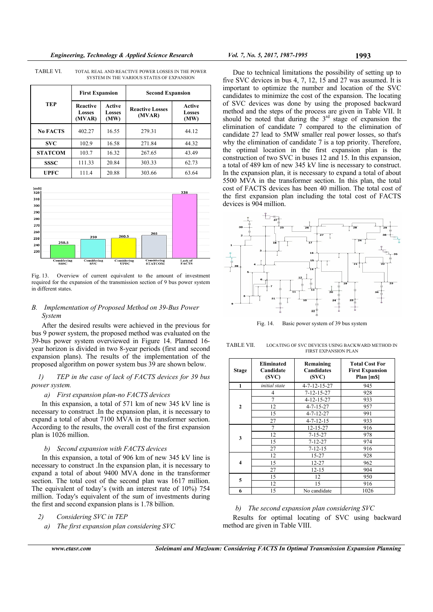|                 | <b>First Expansion</b>       |                          | <b>Second Expansion</b>          |                          |
|-----------------|------------------------------|--------------------------|----------------------------------|--------------------------|
| <b>TEP</b>      | Reactive<br>Losses<br>(MVAR) | Active<br>Losses<br>(MW) | <b>Reactive Losses</b><br>(MVAR) | Active<br>Losses<br>(MW) |
| <b>No FACTS</b> | 402.27                       | 16.55                    | 279.31                           | 44.12                    |
| <b>SVC</b>      | 102.9                        | 16.58                    | 271.84                           | 44.32                    |
| <b>STATCOM</b>  | 103.7                        | 16.32                    | 267.65                           | 43.49                    |
| <b>SSSC</b>     | 111.33                       | 20.84                    | 303.33                           | 62.73                    |
| UPFC            | 111.4                        | 20.88                    | 303.66                           | 63.64                    |

TABLE VI. TOTAL REAL AND REACTIVE POWER LOSSES IN THE POWER SYSTEM IN THE VARIOUS STATES OF EXPANSION



Fig. 13. Overview of current equivalent to the amount of investment required for the expansion of the transmission section of 9 bus power system in different states.

## *B. Implementation of Proposed Method on 39-Bus Power System*

After the desired results were achieved in the previous for bus 9 power system, the proposed method was evaluated on the 39-bus power system overviewed in Figure 14. Planned 16 year horizon is divided in two 8-year periods (first and second expansion plans). The results of the implementation of the proposed algorithm on power system bus 39 are shown below.

*1) TEP in the case of lack of FACTS devices for 39 bus power system.* 

#### *a) First expansion plan-no FACTS devices*

In this expansion, a total of 571 km of new 345 kV line is necessary to construct . In the expansion plan, it is necessary to expand a total of about 7100 MVA in the transformer section. According to the results, the overall cost of the first expansion plan is 1026 million.

#### *b) Second expansion with FACTS devices*

In this expansion, a total of 906 km of new 345 kV line is necessary to construct . In the expansion plan, it is necessary to expand a total of about 9400 MVA done in the transformer section. The total cost of the second plan was 1617 million. The equivalent of today's (with an interest rate of 10%) 754 million. Today's equivalent of the sum of investments during the first and second expansion plans is 1.78 billion.

- *2) Considering SVC in TEP* 
	- *a) The first expansion plan considering SVC*



Fig. 14. Basic power system of 39 bus system

TABLE VII. LOCATING OF SVC DEVICES USING BACKWARD METHOD IN FIRST EXPANSION PLAN

| Stage        | <b>Eliminated</b><br>Candidate<br>(SVC) | Remaining<br>Candidates<br>(SVC) | <b>Total Cost For</b><br><b>First Expansion</b><br>Plan [m\$] |
|--------------|-----------------------------------------|----------------------------------|---------------------------------------------------------------|
| $\mathbf{1}$ | initial state                           | 4-7-12-15-27                     | 945                                                           |
|              | 4                                       | $7 - 12 - 15 - 27$               | 928                                                           |
|              | 7                                       | $4 - 12 - 15 - 27$               | 933                                                           |
| $\mathbf{2}$ | 12                                      | $4 - 7 - 15 - 27$                | 957                                                           |
|              | 15                                      | $4 - 7 - 12 - 27$                | 991                                                           |
|              | 27                                      | $4 - 7 - 12 - 15$                | 933                                                           |
|              | 7                                       | 12-15-27                         | 916                                                           |
| 3            | 12                                      | $7 - 15 - 27$                    | 978                                                           |
|              | 15                                      | $7 - 12 - 27$                    | 974                                                           |
|              | 27                                      | $7 - 12 - 15$                    | 916                                                           |
|              | 12                                      | 15-27                            | 928                                                           |
| 4            | 15                                      | 12-27                            | 962                                                           |
|              | 27                                      | $12 - 15$                        | 904                                                           |
| 5            | 15                                      | 12                               | 950                                                           |
|              | 12                                      | 15                               | 916                                                           |
| 6            | 15                                      | No candidate                     | 1026                                                          |

#### *b) The second expansion plan considering SVC*

Results for optimal locating of SVC using backward method are given in Table VIII.

Due to technical limitations the possibility of setting up to five SVC devices in bus 4, 7, 12, 15 and 27 was assumed. It is important to optimize the number and location of the SVC candidates to minimize the cost of the expansion. The locating of SVC devices was done by using the proposed backward method and the steps of the process are given in Table VII. It should be noted that during the 3<sup>rd</sup> stage of expansion the elimination of candidate 7 compared to the elimination of candidate 27 lead to 5MW smaller real power losses, so that's why the elimination of candidate 7 is a top priority. Therefore, the optimal location in the first expansion plan is the construction of two SVC in buses 12 and 15. In this expansion, a total of 489 km of new 345 kV line is necessary to construct. In the expansion plan, it is necessary to expand a total of about 5500 MVA in the transformer section. In this plan, the total cost of FACTS devices has been 40 million. The total cost of the first expansion plan including the total cost of FACTS devices is 904 million.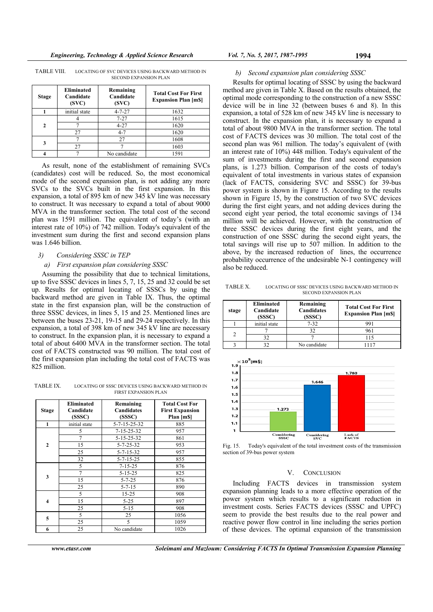| Stage        | <b>Eliminated</b><br>Candidate<br>(SVC) | Remaining<br>Candidate<br>(SVC) | <b>Total Cost For First</b><br><b>Expansion Plan [m\$]</b> |
|--------------|-----------------------------------------|---------------------------------|------------------------------------------------------------|
|              | initial state                           | $4 - 7 - 27$                    | 1632                                                       |
|              |                                         | $7 - 27$                        | 1615                                                       |
| <sub>2</sub> |                                         | $4 - 27$                        | 1620                                                       |
|              | 27                                      | $4 - 7$                         | 1620                                                       |
|              |                                         | 27                              | 1608                                                       |
|              | 27                                      |                                 | 1603                                                       |
|              |                                         | No candidate                    | 1591                                                       |

TABLE VIII. LOCATING OF SVC DEVICES USING BACKWARD METHOD IN SECOND EXPANSION PLAN

As result, none of the establishment of remaining SVCs (candidates) cost will be reduced. So, the most economical mode of the second expansion plan, is not adding any more SVCs to the SVCs built in the first expansion. In this expansion, a total of 895 km of new 345 kV line was necessary to construct. It was necessary to expand a total of about 9000 MVA in the transformer section. The total cost of the second plan was 1591 million. The equivalent of today's (with an interest rate of 10%) of 742 million. Today's equivalent of the investment sum during the first and second expansion plans was 1.646 billion.

### *3) Considering SSSC in TEP*

#### *a) First expansion plan considering SSSC*

Assuming the possibility that due to technical limitations, up to five SSSC devices in lines 5, 7, 15, 25 and 32 could be set up. Results for optimal locating of SSSCs by using the backward method are given in Table IX. Thus, the optimal state in the first expansion plan, will be the construction of three SSSC devices, in lines 5, 15 and 25. Mentioned lines are between the buses 23-21, 19-15 and 29-24 respectively. In this expansion, a total of 398 km of new 345 kV line are necessary to construct. In the expansion plan, it is necessary to expand a total of about 6400 MVA in the transformer section. The total cost of FACTS constructed was 90 million. The total cost of the first expansion plan including the total cost of FACTS was 825 million.

TABLE IX. LOCATING OF SSSC DEVICES USING BACKWARD METHOD IN FIRST EXPANSION PLAN

| <b>Stage</b>   | Eliminated<br>Candidate<br>(SSSC) | Remaining<br>Candidates<br>(SSSC) | <b>Total Cost For</b><br><b>First Expansion</b><br>Plan [m\$] |
|----------------|-----------------------------------|-----------------------------------|---------------------------------------------------------------|
| $\mathbf{1}$   | initial state                     | 5-7-15-25-32                      | 885                                                           |
|                | 5                                 | $7 - 15 - 25 - 32$                | 957                                                           |
|                | 7                                 | 5-15-25-32                        | 861                                                           |
| $\overline{2}$ | 15                                | $5 - 7 - 25 - 32$                 | 953                                                           |
|                | 25                                | $5 - 7 - 15 - 32$                 | 957                                                           |
|                | 32                                | 5-7-15-25                         | 855                                                           |
| 3              | 5                                 | $7 - 15 - 25$                     | 876                                                           |
|                | 7                                 | $5 - 15 - 25$                     | 825                                                           |
|                | 15                                | $5 - 7 - 25$                      | 876                                                           |
|                | 25                                | $5 - 7 - 15$                      | 890                                                           |
|                | 5                                 | $15 - 25$                         | 908                                                           |
| 4              | 15                                | $5 - 25$                          | 897                                                           |
|                | 25                                | $5 - 15$                          | 908                                                           |
|                | 5                                 | 25                                | 1056                                                          |
| 5              | 25                                | 5                                 | 1059                                                          |
| 6              | 25                                | No candidate                      | 1026                                                          |

## *b) Second expansion plan considering SSSC*

Results for optimal locating of SSSC by using the backward method are given in Table X. Based on the results obtained, the optimal mode corresponding to the construction of a new SSSC device will be in line 32 (between buses 6 and 8). In this expansion, a total of 528 km of new 345 kV line is necessary to construct. In the expansion plan, it is necessary to expand a total of about 9800 MVA in the transformer section. The total cost of FACTS devices was 30 million. The total cost of the second plan was 961 million. The today's equivalent of (with an interest rate of 10%) 448 million. Today's equivalent of the sum of investments during the first and second expansion plans, is 1.273 billion. Comparison of the costs of today's equivalent of total investments in various states of expansion (lack of FACTS, considering SVC and SSSC) for 39-bus power system is shown in Figure 15. According to the results shown in Figure 15, by the construction of two SVC devices during the first eight years, and not adding devices during the second eight year period, the total economic savings of 134 million will be achieved. However, with the construction of three SSSC devices during the first eight years, and the construction of one SSSC during the second eight years, the total savings will rise up to 507 million. In addition to the above, by the increased reduction of lines, the occurrence probability occurrence of the undesirable N-1 contingency will also be reduced.

TABLE X. LOCATING OF SSSC DEVICES USING BACKWARD METHOD IN SECOND EXPANSION PLAN

| stage | <b>Eliminated</b><br>Candidate<br>(SSSC) | Remaining<br>Candidates<br>(SSSC) | <b>Total Cost For First</b><br><b>Expansion Plan [m\$]</b> |
|-------|------------------------------------------|-----------------------------------|------------------------------------------------------------|
|       | initial state                            | $7 - 32$                          | 991                                                        |
|       |                                          | 32                                | 961                                                        |
|       | 32                                       |                                   | 115                                                        |
|       |                                          | No candidate                      | 1117                                                       |



Fig. 15. Today's equivalent of the total investment costs of the transmission section of 39-bus power system

#### V. CONCLUSION

Including FACTS devices in transmission system expansion planning leads to a more effective operation of the power system which results to a significant reduction in investment costs. Series FACTS devices (SSSC and UPFC) seem to provide the best results due to the real power and reactive power flow control in line including the series portion of these devices. The optimal expansion of the transmission